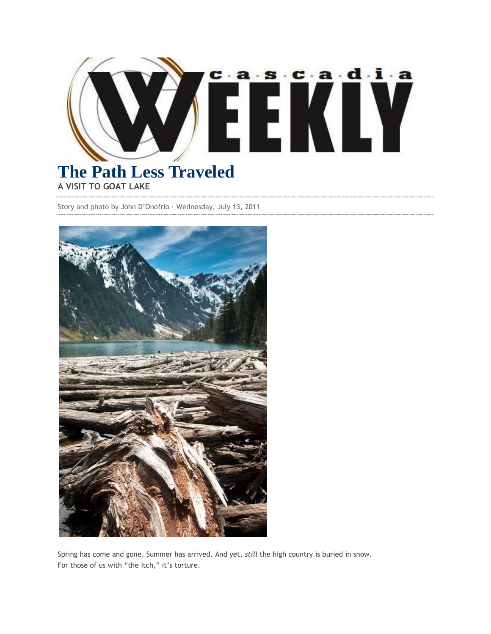

## **The Path Less Traveled A VISIT TO GOAT LAKE**

Story and photo by John D'Onofrio · Wednesday, July 13, 2011



Spring has come and gone. Summer has arrived. And yet, *still* the high country is buried in snow. For those of us with "the itch," it's torture.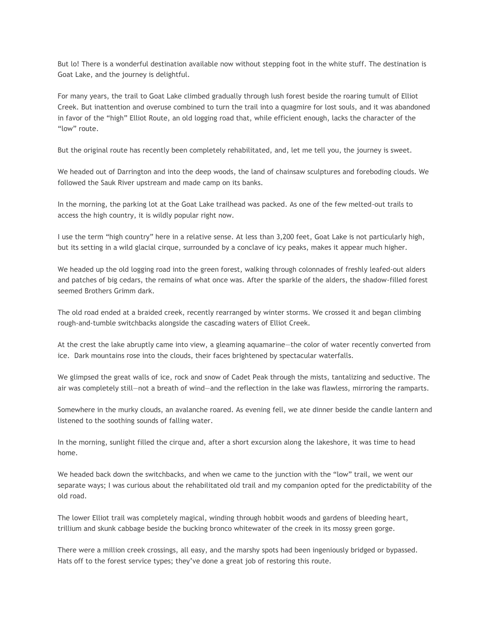But lo! There is a wonderful destination available now without stepping foot in the white stuff. The destination is Goat Lake, and the journey is delightful.

For many years, the trail to Goat Lake climbed gradually through lush forest beside the roaring tumult of Elliot Creek. But inattention and overuse combined to turn the trail into a quagmire for lost souls, and it was abandoned in favor of the "high" Elliot Route, an old logging road that, while efficient enough, lacks the character of the "low" route.

But the original route has recently been completely rehabilitated, and, let me tell you, the journey is sweet.

We headed out of Darrington and into the deep woods, the land of chainsaw sculptures and foreboding clouds. We followed the Sauk River upstream and made camp on its banks.

In the morning, the parking lot at the Goat Lake trailhead was packed. As one of the few melted-out trails to access the high country, it is wildly popular right now.

I use the term "high country" here in a relative sense. At less than 3,200 feet, Goat Lake is not particularly high, but its setting in a wild glacial cirque, surrounded by a conclave of icy peaks, makes it appear much higher.

We headed up the old logging road into the green forest, walking through colonnades of freshly leafed-out alders and patches of big cedars, the remains of what once was. After the sparkle of the alders, the shadow-filled forest seemed Brothers Grimm dark.

The old road ended at a braided creek, recently rearranged by winter storms. We crossed it and began climbing rough-and-tumble switchbacks alongside the cascading waters of Elliot Creek.

At the crest the lake abruptly came into view, a gleaming aquamarine—the color of water recently converted from ice. Dark mountains rose into the clouds, their faces brightened by spectacular waterfalls.

We glimpsed the great walls of ice, rock and snow of Cadet Peak through the mists, tantalizing and seductive. The air was completely still—not a breath of wind—and the reflection in the lake was flawless, mirroring the ramparts.

Somewhere in the murky clouds, an avalanche roared. As evening fell, we ate dinner beside the candle lantern and listened to the soothing sounds of falling water.

In the morning, sunlight filled the cirque and, after a short excursion along the lakeshore, it was time to head home.

We headed back down the switchbacks, and when we came to the junction with the "low" trail, we went our separate ways; I was curious about the rehabilitated old trail and my companion opted for the predictability of the old road.

The lower Elliot trail was completely magical, winding through hobbit woods and gardens of bleeding heart, trillium and skunk cabbage beside the bucking bronco whitewater of the creek in its mossy green gorge.

There were a million creek crossings, all easy, and the marshy spots had been ingeniously bridged or bypassed. Hats off to the forest service types; they've done a great job of restoring this route.